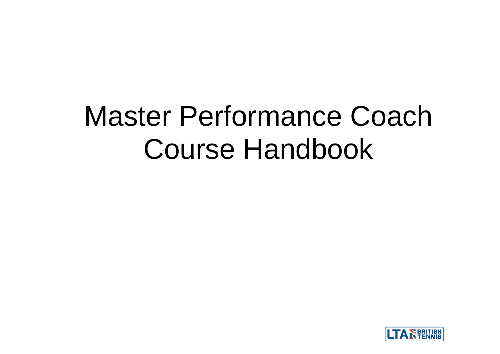# Master Performance Coach Course Handbook

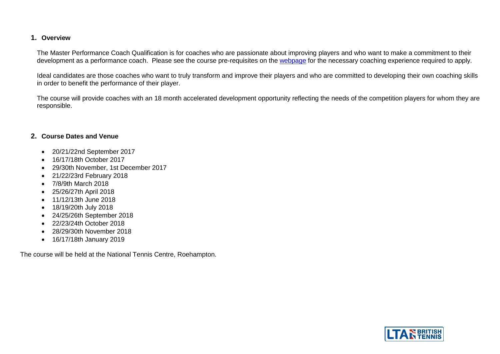#### **1. Overview**

The Master Performance Coach Qualification is for coaches who are passionate about improving players and who want to make a commitment to their development as a performance coach. Please see the course pre-requisites on the [webpage](https://www.lta.org.uk/coach-teach/coaching-pathway/level-5-master-performance-coach-qualification/) for the necessary coaching experience required to apply.

Ideal candidates are those coaches who want to truly transform and improve their players and who are committed to developing their own coaching skills in order to benefit the performance of their player.

The course will provide coaches with an 18 month accelerated development opportunity reflecting the needs of the competition players for whom they are responsible.

#### **2. Course Dates and Venue**

- 20/21/22nd September 2017
- 16/17/18th October 2017
- 29/30th November, 1st December 2017
- 21/22/23rd February 2018
- 7/8/9th March 2018
- 25/26/27th April 2018
- 11/12/13th June 2018
- 18/19/20th July 2018
- 24/25/26th September 2018
- 22/23/24th October 2018
- 28/29/30th November 2018
- 16/17/18th January 2019

The course will be held at the National Tennis Centre, Roehampton.

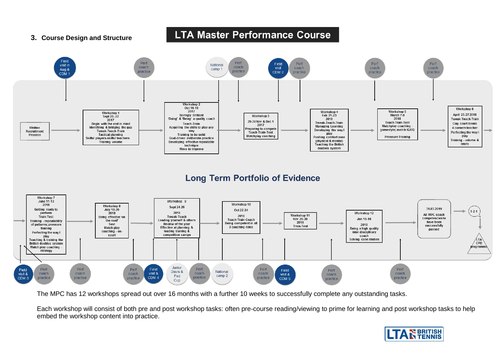#### **3. Course Design and Structure**

# **LTA Master Performance Course**



The MPC has 12 workshops spread out over 16 months with a further 10 weeks to successfully complete any outstanding tasks.

Each workshop will consist of both pre and post workshop tasks: often pre-course reading/viewing to prime for learning and post workshop tasks to help embed the workshop content into practice.

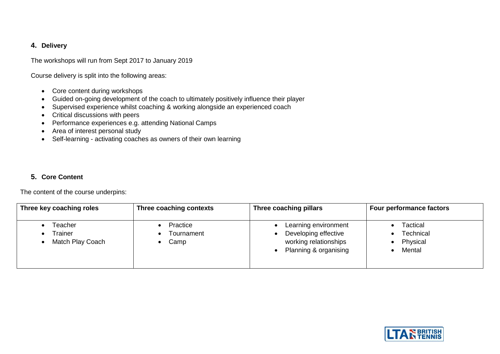# **4. Delivery**

The workshops will run from Sept 2017 to January 2019

Course delivery is split into the following areas:

- Core content during workshops
- Guided on-going development of the coach to ultimately positively influence their player
- Supervised experience whilst coaching & working alongside an experienced coach
- Critical discussions with peers
- Performance experiences e.g. attending National Camps
- Area of interest personal study
- Self-learning activating coaches as owners of their own learning

# **5. Core Content**

The content of the course underpins:

| Three key coaching roles               | Three coaching contexts        | Three coaching pillars                                                                         | <b>Four performance factors</b>                    |
|----------------------------------------|--------------------------------|------------------------------------------------------------------------------------------------|----------------------------------------------------|
| Teacher<br>Trainer<br>Match Play Coach | Practice<br>Tournament<br>Camp | Learning environment<br>Developing effective<br>working relationships<br>Planning & organising | <b>Tactical</b><br>Technical<br>Physical<br>Mental |

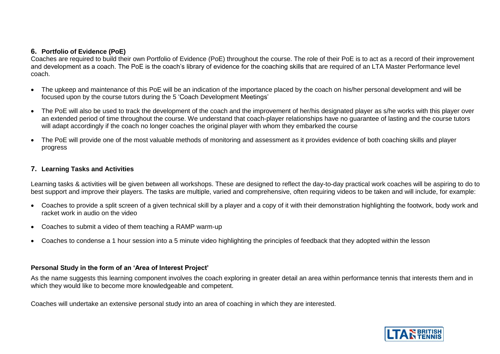#### **6. Portfolio of Evidence (PoE)**

Coaches are required to build their own Portfolio of Evidence (PoE) throughout the course. The role of their PoE is to act as a record of their improvement and development as a coach. The PoE is the coach's library of evidence for the coaching skills that are required of an LTA Master Performance level coach.

- The upkeep and maintenance of this PoE will be an indication of the importance placed by the coach on his/her personal development and will be focused upon by the course tutors during the 5 'Coach Development Meetings'
- The PoE will also be used to track the development of the coach and the improvement of her/his designated player as s/he works with this player over an extended period of time throughout the course. We understand that coach-player relationships have no guarantee of lasting and the course tutors will adapt accordingly if the coach no longer coaches the original player with whom they embarked the course
- The PoE will provide one of the most valuable methods of monitoring and assessment as it provides evidence of both coaching skills and player progress

#### **7. Learning Tasks and Activities**

Learning tasks & activities will be given between all workshops. These are designed to reflect the day-to-day practical work coaches will be aspiring to do to best support and improve their players. The tasks are multiple, varied and comprehensive, often requiring videos to be taken and will include, for example:

- Coaches to provide a split screen of a given technical skill by a player and a copy of it with their demonstration highlighting the footwork, body work and racket work in audio on the video
- Coaches to submit a video of them teaching a RAMP warm-up
- Coaches to condense a 1 hour session into a 5 minute video highlighting the principles of feedback that they adopted within the lesson

#### **Personal Study in the form of an 'Area of Interest Project'**

As the name suggests this learning component involves the coach exploring in greater detail an area within performance tennis that interests them and in which they would like to become more knowledgeable and competent.

Coaches will undertake an extensive personal study into an area of coaching in which they are interested.

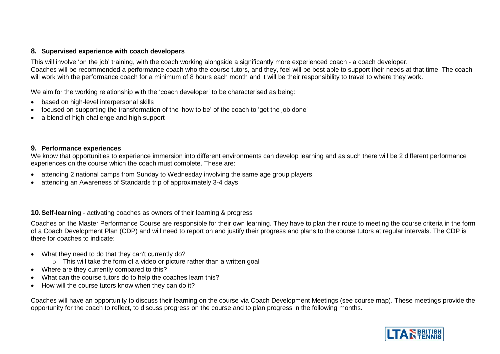#### **8. Supervised experience with coach developers**

This will involve 'on the job' training, with the coach working alongside a significantly more experienced coach - a coach developer. Coaches will be recommended a performance coach who the course tutors, and they, feel will be best able to support their needs at that time. The coach will work with the performance coach for a minimum of 8 hours each month and it will be their responsibility to travel to where they work.

We aim for the working relationship with the 'coach developer' to be characterised as being:

- based on high-level interpersonal skills
- focused on supporting the transformation of the 'how to be' of the coach to 'get the job done'
- a blend of high challenge and high support

### **9. Performance experiences**

We know that opportunities to experience immersion into different environments can develop learning and as such there will be 2 different performance experiences on the course which the coach must complete. These are:

- attending 2 national camps from Sunday to Wednesday involving the same age group players
- attending an Awareness of Standards trip of approximately 3-4 days

# **10.Self-learning** - activating coaches as owners of their learning & progress

Coaches on the Master Performance Course are responsible for their own learning. They have to plan their route to meeting the course criteria in the form of a Coach Development Plan (CDP) and will need to report on and justify their progress and plans to the course tutors at regular intervals. The CDP is there for coaches to indicate:

- What they need to do that they can't currently do?
	- o This will take the form of a video or picture rather than a written goal
- Where are they currently compared to this?
- What can the course tutors do to help the coaches learn this?
- How will the course tutors know when they can do it?

Coaches will have an opportunity to discuss their learning on the course via Coach Development Meetings (see course map). These meetings provide the opportunity for the coach to reflect, to discuss progress on the course and to plan progress in the following months.